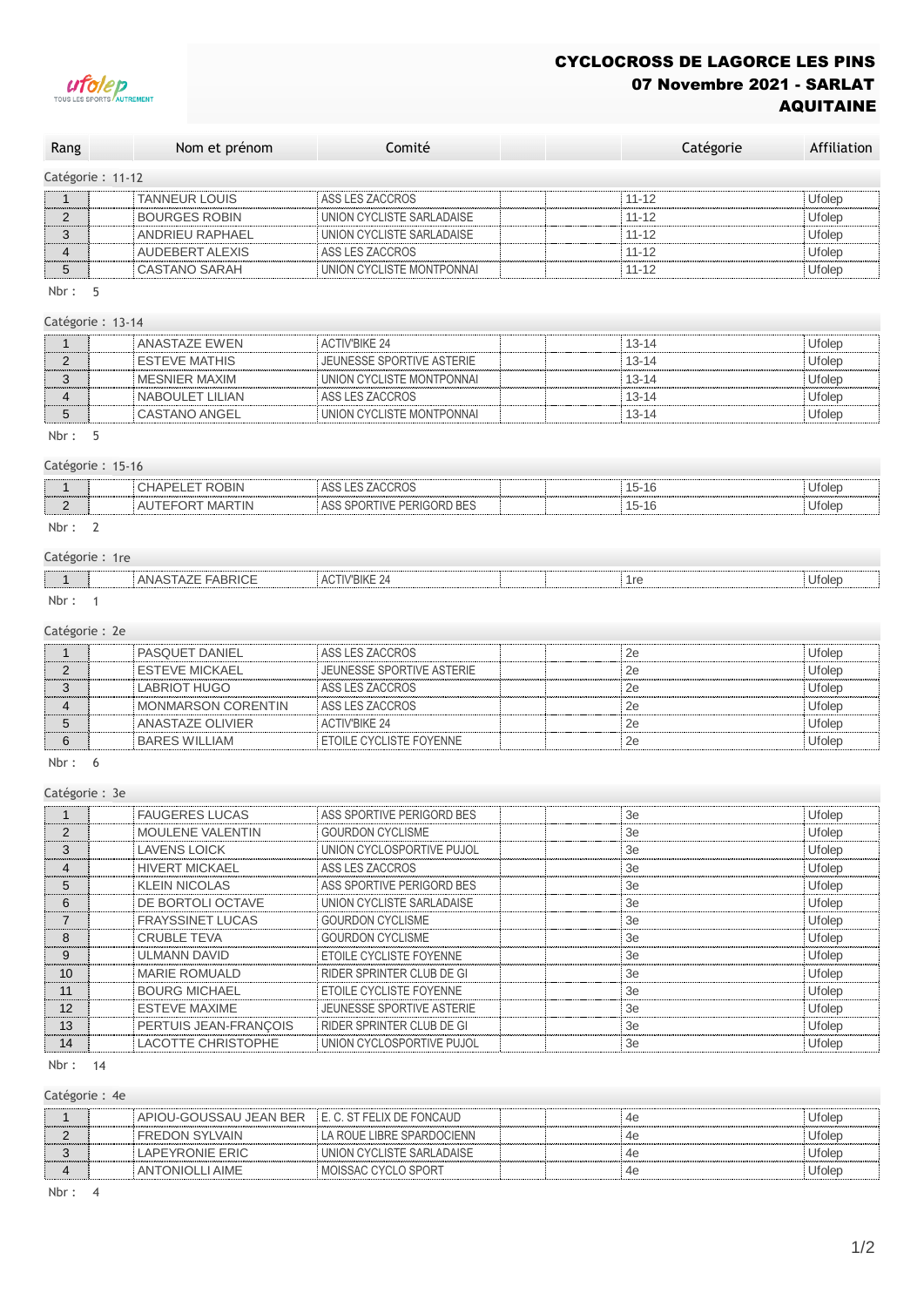

# CYCLOCROSS DE LAGORCE LES PINS 07 Novembre 2021 - SARLAT AQUITAINE

| Rang              | Nom et prénom        | Comité                    | Catégorie | Affiliation |
|-------------------|----------------------|---------------------------|-----------|-------------|
| Catégorie : 11-12 |                      |                           |           |             |
|                   | <b>TANNEUR LOUIS</b> | ASS LES ZACCROS           | $11 - 12$ | Ufolep      |
|                   | <b>BOURGES ROBIN</b> | UNION CYCLISTE SARLADAISE | $11 - 12$ | Ufolep      |
|                   | ANDRIEU RAPHAEL      | UNION CYCLISTE SARLADAISE | $11 - 12$ | Ufolep      |
|                   | AUDEBERT ALEXIS      | ASS LES ZACCROS           | $11 - 12$ | Ufolep      |
|                   | CASTANO SARAH        | UNION CYCLISTE MONTPONNAI | $11 - 12$ | Ufolep      |

Nbr : 5

#### Catégorie : 13-14

| ANASTAZE EWEN   | <b>ACTIV'BIKE 24</b>      | 13-14     | Jfolei |
|-----------------|---------------------------|-----------|--------|
| ESTEVE MATHIS   | JEUNESSE SPORTIVE ASTERIE | $13 - 14$ | Jfoler |
| MESNIER MAXIM   | UNION CYCLISTE MONTPONNAL | 13-14     | Jfoler |
| NABOULET LILIAN | ASS LES ZACCROS           | 13-14     | Jfoler |
| CASTANO ANGEL   | UNION CYCLISTE MONTPONNAL | I3-14     | Jfole  |
|                 |                           |           |        |

## Nbr : 5

# Catégorie : 15-16 1 CHAPELET ROBIN ASS LES ZACCROS 15-16 15-16 Ufolep 2 AUTEFORT MARTIN ASS SPORTIVE PERIGORD BES 15-16 15-16 Ufolep

### Nbr : 2

### Catégorie : 1re

|              | $\lambda$<br>ANA <sup>c-</sup><br>FABRIU∟<br>5141<br>∼<br>the contract of the contract of the contract of the contract of the contract of the contract of the contract of | TIV'BIKE 24<br>$\Delta$ $\cap$ $\top$ "<br>v<br>the contract of the contract of the contract of the contract of the contract of the contract of the contract of | 1re | .<br>Ufolep<br>- - |
|--------------|---------------------------------------------------------------------------------------------------------------------------------------------------------------------------|-----------------------------------------------------------------------------------------------------------------------------------------------------------------|-----|--------------------|
| A. H. London |                                                                                                                                                                           |                                                                                                                                                                 |     |                    |

Nbr : 1

## Catégorie : 2e

| PASQUET DANIEL     | ASS LES ZACCROS           |    | Jfolep |
|--------------------|---------------------------|----|--------|
| FSTEVE MICKAEL     | JEUNESSE SPORTIVE ASTERIE |    | Jfolep |
| LABRIOT HUGO       | ASS LES ZACCROS           | 2e | Jfolec |
| MONMARSON CORENTIN | ASS LES ZACCROS           |    | Jfolep |
| ANASTAZE OLIVIER   | <b>ACTIV'BIKE 24</b>      |    | Jfolep |
| BARES WILLIAM      | ETOILE CYCLISTE FOYENNE   |    | Jfoler |

Nbr : 6

Catégorie : 3e

|               | <b>FAUGERES LUCAS</b>     | ASS SPORTIVE PERIGORD BES        | 3e | Ufolep |
|---------------|---------------------------|----------------------------------|----|--------|
| $\mathcal{P}$ | <b>MOULENE VALENTIN</b>   | <b>GOURDON CYCLISME</b>          | 3e | Ufolep |
| 3             | <b>LAVENS LOICK</b>       | UNION CYCLOSPORTIVE PUJOL        | 3e | Ufolep |
|               | <b>HIVERT MICKAEL</b>     | ASS LES ZACCROS                  | 3e | Ufolep |
| 5             | <b>KLEIN NICOLAS</b>      | ASS SPORTIVE PERIGORD BES        | 3e | Ufolep |
| 6             | DE BORTOLI OCTAVE         | UNION CYCLISTE SARLADAISE        | 3e | Ufolep |
|               | <b>FRAYSSINET LUCAS</b>   | <b>GOURDON CYCLISME</b>          | 3e | Ufolep |
| 8             | <b>CRUBLE TEVA</b>        | <b>GOURDON CYCLISME</b>          | 3e | Ufolep |
| 9             | <b>ULMANN DAVID</b>       | <b>ETOILE CYCLISTE FOYENNE</b>   | 3e | Ufolep |
| 10            | <b>MARIE ROMUALD</b>      | RIDER SPRINTER CLUB DE GI        | 3e | Ufolep |
| 11            | <b>BOURG MICHAEL</b>      | ETOILE CYCLISTE FOYENNE          | 3e | Ufolep |
| 12            | <b>ESTEVE MAXIME</b>      | <b>JEUNESSE SPORTIVE ASTERIE</b> | 3e | Ufolep |
| 13            | PERTUIS JEAN-FRANÇOIS     | RIDER SPRINTER CLUB DE GI        | 3e | Ufolep |
| 14            | <b>LACOTTE CHRISTOPHE</b> | UNION CYCLOSPORTIVE PUJOL        | 3e | Ufolep |

Nbr : 14

## Catégorie : 4e

| APIOU-GOUSSAU JEAN BER E.C. ST FELIX DE FONCAUD |                           | 46 | Jfolec |
|-------------------------------------------------|---------------------------|----|--------|
| <b>FREDON SYLVAIN</b>                           | LA ROUE LIBRE SPARDOCIENN |    | Jfolep |
| LAPEYRONIE ERIC                                 | UNION CYCLISTE SARLADAISE | 46 | Jfolen |
| ANTONIOLI LAIME                                 | MOISSAC CYCLO SPORT       |    | Jfolec |

#### Nbr : 4